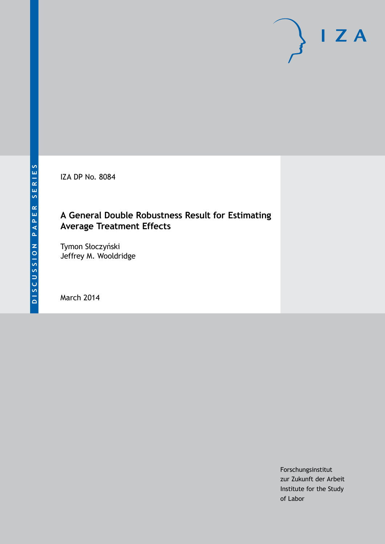IZA DP No. 8084

# **A General Double Robustness Result for Estimating Average Treatment Effects**

Tymon Słoczyński Jeffrey M. Wooldridge

March 2014

Forschungsinstitut zur Zukunft der Arbeit Institute for the Study of Labor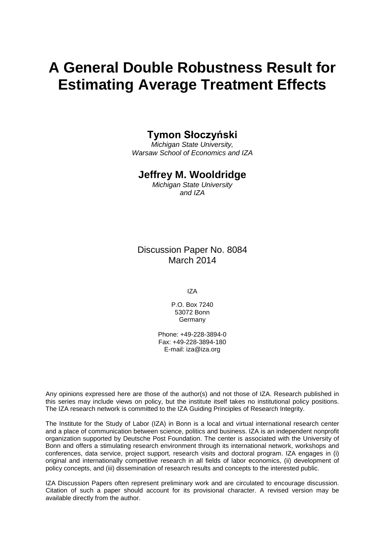# **A General Double Robustness Result for Estimating Average Treatment Effects**

### **Tymon Słoczyński**

*Michigan State University, Warsaw School of Economics and IZA*

#### **Jeffrey M. Wooldridge**

*Michigan State University and IZA*

Discussion Paper No. 8084 March 2014

IZA

P.O. Box 7240 53072 Bonn Germany

Phone: +49-228-3894-0 Fax: +49-228-3894-180 E-mail: [iza@iza.org](mailto:iza@iza.org)

Any opinions expressed here are those of the author(s) and not those of IZA. Research published in this series may include views on policy, but the institute itself takes no institutional policy positions. The IZA research network is committed to the IZA Guiding Principles of Research Integrity.

The Institute for the Study of Labor (IZA) in Bonn is a local and virtual international research center and a place of communication between science, politics and business. IZA is an independent nonprofit organization supported by Deutsche Post Foundation. The center is associated with the University of Bonn and offers a stimulating research environment through its international network, workshops and conferences, data service, project support, research visits and doctoral program. IZA engages in (i) original and internationally competitive research in all fields of labor economics, (ii) development of policy concepts, and (iii) dissemination of research results and concepts to the interested public.

<span id="page-1-0"></span>IZA Discussion Papers often represent preliminary work and are circulated to encourage discussion. Citation of such a paper should account for its provisional character. A revised version may be available directly from the author.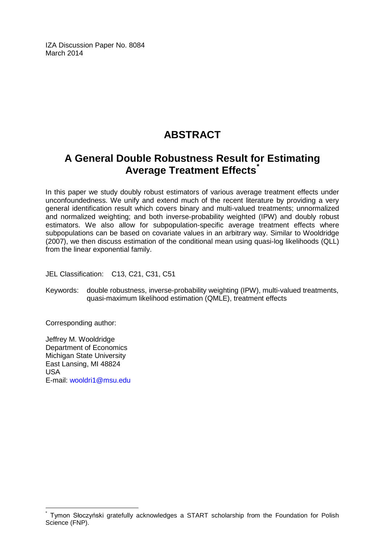IZA Discussion Paper No. 8084 March 2014

# **ABSTRACT**

# **A General Double Robustness Result for Estimating Average Treatment Effects[\\*](#page-1-0)**

In this paper we study doubly robust estimators of various average treatment effects under unconfoundedness. We unify and extend much of the recent literature by providing a very general identification result which covers binary and multi-valued treatments; unnormalized and normalized weighting; and both inverse-probability weighted (IPW) and doubly robust estimators. We also allow for subpopulation-specific average treatment effects where subpopulations can be based on covariate values in an arbitrary way. Similar to Wooldridge (2007), we then discuss estimation of the conditional mean using quasi-log likelihoods (QLL) from the linear exponential family.

JEL Classification: C13, C21, C31, C51

Keywords: double robustness, inverse-probability weighting (IPW), multi-valued treatments, quasi-maximum likelihood estimation (QMLE), treatment effects

Corresponding author:

Jeffrey M. Wooldridge Department of Economics Michigan State University East Lansing, MI 48824 USA E-mail: [wooldri1@msu.edu](mailto:wooldri1@msu.edu)

Tymon Słoczyński gratefully acknowledges a START scholarship from the Foundation for Polish Science (FNP).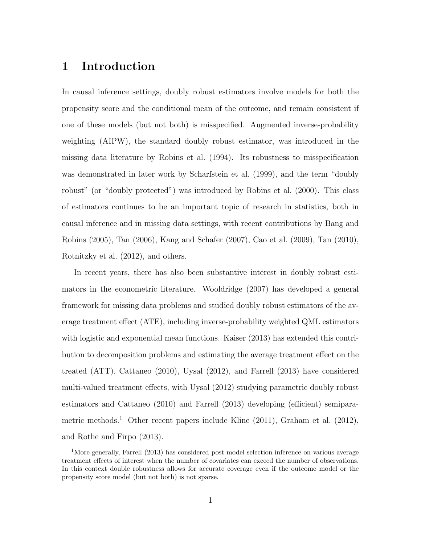# 1 Introduction

In causal inference settings, doubly robust estimators involve models for both the propensity score and the conditional mean of the outcome, and remain consistent if one of these models (but not both) is misspecified. Augmented inverse-probability weighting (AIPW), the standard doubly robust estimator, was introduced in the missing data literature by [Robins et al.](#page-21-0) [\(1994\)](#page-21-0). Its robustness to misspecification was demonstrated in later work by [Scharfstein et al.](#page-21-1) [\(1999\)](#page-21-1), and the term "doubly robust" (or "doubly protected") was introduced by [Robins et al.](#page-21-2) [\(2000\)](#page-21-2). This class of estimators continues to be an important topic of research in statistics, both in causal inference and in missing data settings, with recent contributions by [Bang and](#page-20-0) [Robins](#page-20-0) [\(2005\)](#page-20-0), [Tan](#page-21-3) [\(2006\)](#page-21-3), [Kang and Schafer](#page-21-4) [\(2007\)](#page-21-4), [Cao et al.](#page-20-1) [\(2009\)](#page-20-1), [Tan](#page-22-0) [\(2010\)](#page-22-0), [Rotnitzky et al.](#page-21-5) [\(2012\)](#page-21-5), and others.

In recent years, there has also been substantive interest in doubly robust estimators in the econometric literature. [Wooldridge](#page-22-1) [\(2007\)](#page-22-1) has developed a general framework for missing data problems and studied doubly robust estimators of the average treatment effect (ATE), including inverse-probability weighted QML estimators with logistic and exponential mean functions. [Kaiser](#page-21-6) [\(2013\)](#page-21-6) has extended this contribution to decomposition problems and estimating the average treatment effect on the treated (ATT). [Cattaneo](#page-20-2) [\(2010\)](#page-20-2), [Uysal](#page-22-2) [\(2012\)](#page-22-2), and [Farrell](#page-20-3) [\(2013\)](#page-20-3) have considered multi-valued treatment effects, with [Uysal](#page-22-2) [\(2012\)](#page-22-2) studying parametric doubly robust estimators and [Cattaneo](#page-20-2) [\(2010\)](#page-20-2) and [Farrell](#page-20-3) [\(2013\)](#page-20-3) developing (efficient) semipara-metric methods.<sup>[1](#page--1-0)</sup> Other recent papers include [Kline](#page-21-7) [\(2011\)](#page-21-7), [Graham et al.](#page-20-4) [\(2012\)](#page-20-4), and [Rothe and Firpo](#page-21-8) [\(2013\)](#page-21-8).

<sup>&</sup>lt;sup>1</sup>More generally, [Farrell](#page-20-3) [\(2013\)](#page-20-3) has considered post model selection inference on various average treatment effects of interest when the number of covariates can exceed the number of observations. In this context double robustness allows for accurate coverage even if the outcome model or the propensity score model (but not both) is not sparse.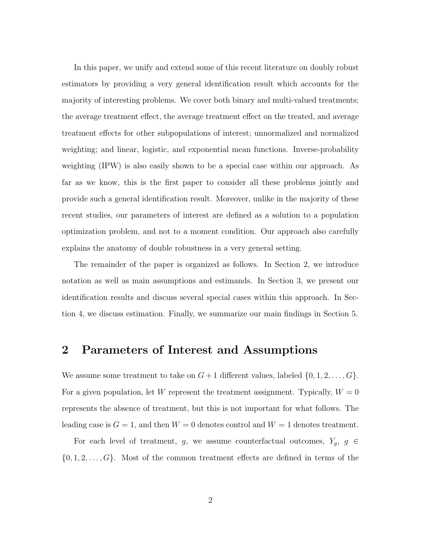In this paper, we unify and extend some of this recent literature on doubly robust estimators by providing a very general identification result which accounts for the majority of interesting problems. We cover both binary and multi-valued treatments; the average treatment effect, the average treatment effect on the treated, and average treatment effects for other subpopulations of interest; unnormalized and normalized weighting; and linear, logistic, and exponential mean functions. Inverse-probability weighting (IPW) is also easily shown to be a special case within our approach. As far as we know, this is the first paper to consider all these problems jointly and provide such a general identification result. Moreover, unlike in the majority of these recent studies, our parameters of interest are defined as a solution to a population optimization problem, and not to a moment condition. Our approach also carefully explains the anatomy of double robustness in a very general setting.

The remainder of the paper is organized as follows. In Section [2,](#page-4-0) we introduce notation as well as main assumptions and estimands. In Section [3,](#page-6-0) we present our identification results and discuss several special cases within this approach. In Section [4,](#page-14-0) we discuss estimation. Finally, we summarize our main findings in Section [5.](#page-19-0)

### <span id="page-4-0"></span>2 Parameters of Interest and Assumptions

We assume some treatment to take on  $G + 1$  different values, labeled  $\{0, 1, 2, \ldots, G\}$ . For a given population, let W represent the treatment assignment. Typically,  $W = 0$ represents the absence of treatment, but this is not important for what follows. The leading case is  $G = 1$ , and then  $W = 0$  denotes control and  $W = 1$  denotes treatment.

For each level of treatment, g, we assume counterfactual outcomes,  $Y_g$ ,  $g \in$  $\{0, 1, 2, \ldots, G\}$ . Most of the common treatment effects are defined in terms of the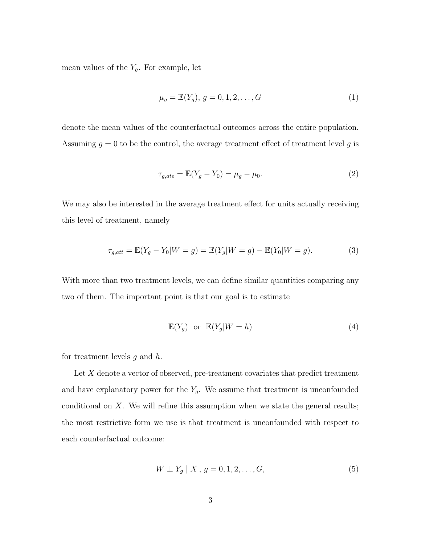mean values of the  $Y_g$ . For example, let

$$
\mu_g = \mathbb{E}(Y_g), \ g = 0, 1, 2, \dots, G \tag{1}
$$

denote the mean values of the counterfactual outcomes across the entire population. Assuming  $q = 0$  to be the control, the average treatment effect of treatment level q is

$$
\tau_{g,ate} = \mathbb{E}(Y_g - Y_0) = \mu_g - \mu_0.
$$
\n(2)

We may also be interested in the average treatment effect for units actually receiving this level of treatment, namely

$$
\tau_{g,att} = \mathbb{E}(Y_g - Y_0 | W = g) = \mathbb{E}(Y_g | W = g) - \mathbb{E}(Y_0 | W = g).
$$
\n(3)

With more than two treatment levels, we can define similar quantities comparing any two of them. The important point is that our goal is to estimate

$$
\mathbb{E}(Y_g) \quad \text{or} \quad \mathbb{E}(Y_g|W=h) \tag{4}
$$

for treatment levels  $g$  and  $h$ .

Let X denote a vector of observed, pre-treatment covariates that predict treatment and have explanatory power for the  $Y_g$ . We assume that treatment is unconfounded conditional on X. We will refine this assumption when we state the general results; the most restrictive form we use is that treatment is unconfounded with respect to each counterfactual outcome:

$$
W \perp Y_g \mid X, \, g = 0, 1, 2, \dots, G,\tag{5}
$$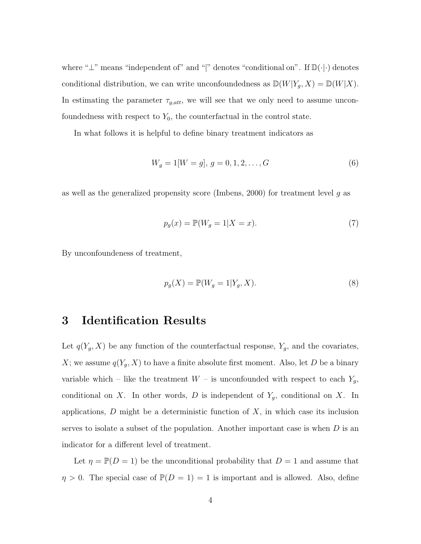where "⊥" means "independent of" and "|" denotes "conditional on". If D(·|·) denotes conditional distribution, we can write unconfoundedness as  $\mathbb{D}(W|Y_g, X) = \mathbb{D}(W|X)$ . In estimating the parameter  $\tau_{g,att}$ , we will see that we only need to assume unconfoundedness with respect to  $Y_0$ , the counterfactual in the control state.

In what follows it is helpful to define binary treatment indicators as

$$
W_g = 1[W = g], \ g = 0, 1, 2, \dots, G
$$
\n<sup>(6)</sup>

as well as the generalized propensity score [\(Imbens, 2000\)](#page-20-5) for treatment level  $g$  as

<span id="page-6-1"></span>
$$
p_g(x) = \mathbb{P}(W_g = 1 | X = x). \tag{7}
$$

By unconfoundeness of treatment,

$$
p_g(X) = \mathbb{P}(W_g = 1 | Y_g, X). \tag{8}
$$

# <span id="page-6-0"></span>3 Identification Results

Let  $q(Y_g, X)$  be any function of the counterfactual response,  $Y_g$ , and the covariates, X; we assume  $q(Y_g, X)$  to have a finite absolute first moment. Also, let D be a binary variable which – like the treatment  $W$  – is unconfounded with respect to each  $Y_g$ , conditional on X. In other words, D is independent of  $Y_g$ , conditional on X. In applications,  $D$  might be a deterministic function of  $X$ , in which case its inclusion serves to isolate a subset of the population. Another important case is when  $D$  is an indicator for a different level of treatment.

Let  $\eta = \mathbb{P}(D = 1)$  be the unconditional probability that  $D = 1$  and assume that  $\eta > 0$ . The special case of  $\mathbb{P}(D = 1) = 1$  is important and is allowed. Also, define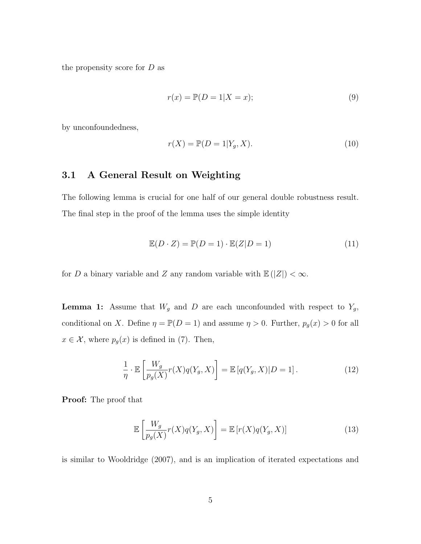the propensity score for  $D$  as

$$
r(x) = \mathbb{P}(D = 1 | X = x); \tag{9}
$$

by unconfoundedness,

$$
r(X) = \mathbb{P}(D = 1 | Y_g, X). \tag{10}
$$

#### 3.1 A General Result on Weighting

The following lemma is crucial for one half of our general double robustness result. The final step in the proof of the lemma uses the simple identity

$$
\mathbb{E}(D \cdot Z) = \mathbb{P}(D = 1) \cdot \mathbb{E}(Z|D = 1)
$$
\n(11)

for D a binary variable and Z any random variable with  $\mathbb{E}(|Z|) < \infty$ .

**Lemma 1:** Assume that  $W_g$  and D are each unconfounded with respect to  $Y_g$ , conditional on X. Define  $\eta = \mathbb{P}(D = 1)$  and assume  $\eta > 0$ . Further,  $p_g(x) > 0$  for all  $x \in \mathcal{X}$ , where  $p_g(x)$  is defined in [\(7\)](#page-6-1). Then,

$$
\frac{1}{\eta} \cdot \mathbb{E}\left[\frac{W_g}{p_g(X)}r(X)q(Y_g, X)\right] = \mathbb{E}\left[q(Y_g, X)|D = 1\right].\tag{12}
$$

Proof: The proof that

$$
\mathbb{E}\left[\frac{W_g}{p_g(X)}r(X)q(Y_g,X)\right] = \mathbb{E}\left[r(X)q(Y_g,X)\right]
$$
\n(13)

is similar to [Wooldridge](#page-22-1) [\(2007\)](#page-22-1), and is an implication of iterated expectations and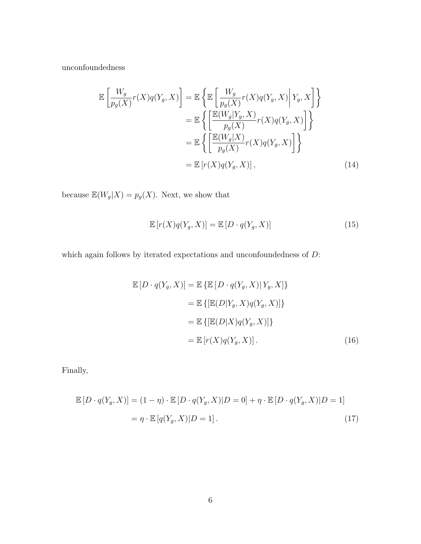unconfoundedness

$$
\mathbb{E}\left[\frac{W_g}{p_g(X)}r(X)q(Y_g, X)\right] = \mathbb{E}\left\{\mathbb{E}\left[\frac{W_g}{p_g(X)}r(X)q(Y_g, X)\Big|Y_g, X\right]\right\}
$$

$$
= \mathbb{E}\left\{\left[\frac{\mathbb{E}(W_g|Y_g, X)}{p_g(X)}r(X)q(Y_g, X)\right]\right\}
$$

$$
= \mathbb{E}\left\{\left[\frac{\mathbb{E}(W_g|X)}{p_g(X)}r(X)q(Y_g, X)\right]\right\}
$$

$$
= \mathbb{E}\left[r(X)q(Y_g, X)\right],
$$
(14)

because  $\mathbb{E}(W_{g}|X) = p_{g}(X).$  Next, we show that

$$
\mathbb{E}\left[r(X)q(Y_g, X)\right] = \mathbb{E}\left[D \cdot q(Y_g, X)\right] \tag{15}
$$

which again follows by iterated expectations and unconfoundedness of  $\mathcal{D} \mathpunct{:}$ 

$$
\mathbb{E}[D \cdot q(Y_g, X)] = \mathbb{E}\left\{\mathbb{E}[D \cdot q(Y_g, X) | Y_g, X]\right\}
$$

$$
= \mathbb{E}\left\{\left[\mathbb{E}(D|Y_g, X)q(Y_g, X)\right]\right\}
$$

$$
= \mathbb{E}\left\{\left[\mathbb{E}(D|X)q(Y_g, X)\right]\right\}
$$

$$
= \mathbb{E}\left[r(X)q(Y_g, X)\right].
$$
(16)

Finally,

$$
\mathbb{E}\left[D \cdot q(Y_g, X)\right] = (1 - \eta) \cdot \mathbb{E}\left[D \cdot q(Y_g, X)|D = 0\right] + \eta \cdot \mathbb{E}\left[D \cdot q(Y_g, X)|D = 1\right]
$$

$$
= \eta \cdot \mathbb{E}\left[q(Y_g, X)|D = 1\right].
$$
(17)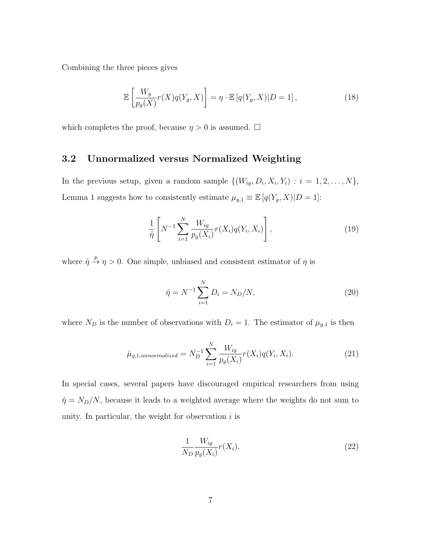Combining the three pieces gives

$$
\mathbb{E}\left[\frac{W_g}{p_g(X)}r(X)q(Y_g,X)\right] = \eta \cdot \mathbb{E}\left[q(Y_g,X)|D=1\right],\tag{18}
$$

which completes the proof, because  $\eta > 0$  is assumed.  $\Box$ 

#### 3.2 Unnormalized versus Normalized Weighting

In the previous setup, given a random sample  $\{(W_{ig}, D_i, X_i, Y_i) : i = 1, 2, \ldots, N\},\$ Lemma 1 suggests how to consistently estimate  $\mu_{g,1} \equiv \mathbb{E}\left[q(Y_g,X) | D = 1\right]$ :

<span id="page-9-0"></span>
$$
\frac{1}{\hat{\eta}} \left[ N^{-1} \sum_{i=1}^{N} \frac{W_{ig}}{p_g(X_i)} r(X_i) q(Y_i, X_i) \right],
$$
\n(19)

where  $\hat{\eta} \stackrel{p}{\rightarrow} \eta > 0$ . One simple, unbiased and consistent estimator of  $\eta$  is

$$
\hat{\eta} = N^{-1} \sum_{i=1}^{N} D_i = N_D/N,
$$
\n(20)

where  $N_D$  is the number of observations with  $D_i = 1$ . The estimator of  $\mu_{g,1}$  is then

$$
\hat{\mu}_{g,1,unnormalized} = N_D^{-1} \sum_{i=1}^{N} \frac{W_{ig}}{p_g(X_i)} r(X_i) q(Y_i, X_i).
$$
\n(21)

In special cases, several papers have discouraged empirical researchers from using  $\hat{\eta} = N_D/N$ , because it leads to a weighted average where the weights do not sum to unity. In particular, the weight for observation  $i$  is

$$
\frac{1}{N_D} \frac{W_{ig}}{p_g(X_i)} r(X_i),\tag{22}
$$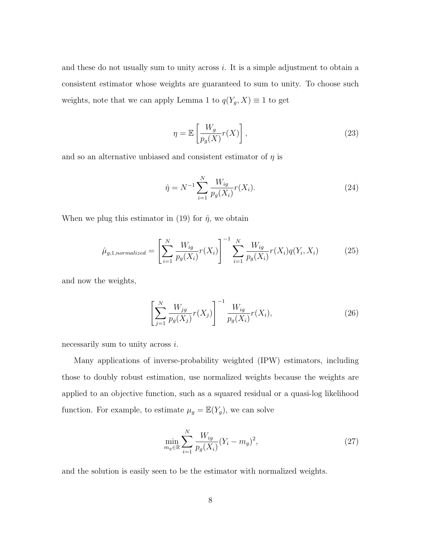and these do not usually sum to unity across  $i$ . It is a simple adjustment to obtain a consistent estimator whose weights are guaranteed to sum to unity. To choose such weights, note that we can apply Lemma 1 to  $q(Y_g, X) \equiv 1$  to get

$$
\eta = \mathbb{E}\left[\frac{W_g}{p_g(X)}r(X)\right],\tag{23}
$$

and so an alternative unbiased and consistent estimator of  $\eta$  is

$$
\hat{\eta} = N^{-1} \sum_{i=1}^{N} \frac{W_{ig}}{p_g(X_i)} r(X_i).
$$
\n(24)

When we plug this estimator in [\(19\)](#page-9-0) for  $\hat{\eta}$ , we obtain

$$
\hat{\mu}_{g,1,normalized} = \left[ \sum_{i=1}^{N} \frac{W_{ig}}{p_g(X_i)} r(X_i) \right]^{-1} \sum_{i=1}^{N} \frac{W_{ig}}{p_g(X_i)} r(X_i) q(Y_i, X_i)
$$
(25)

and now the weights,

$$
\left[\sum_{j=1}^{N} \frac{W_{jg}}{p_g(X_j)} r(X_j)\right]^{-1} \frac{W_{ig}}{p_g(X_i)} r(X_i),\tag{26}
$$

necessarily sum to unity across i.

Many applications of inverse-probability weighted (IPW) estimators, including those to doubly robust estimation, use normalized weights because the weights are applied to an objective function, such as a squared residual or a quasi-log likelihood function. For example, to estimate  $\mu_g = \mathbb{E}(Y_g)$ , we can solve

$$
\min_{m_g \in \mathbb{R}} \sum_{i=1}^{N} \frac{W_{ig}}{p_g(X_i)} (Y_i - m_g)^2,
$$
\n(27)

and the solution is easily seen to be the estimator with normalized weights.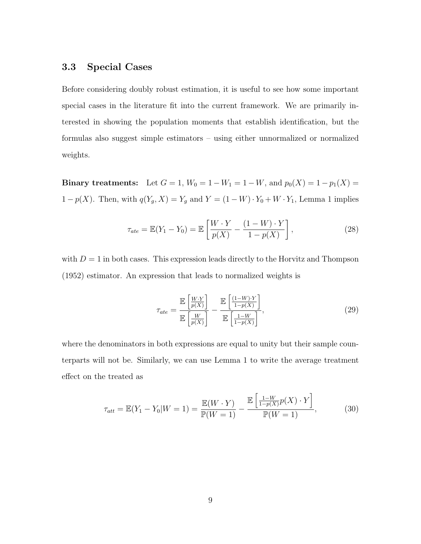#### 3.3 Special Cases

Before considering doubly robust estimation, it is useful to see how some important special cases in the literature fit into the current framework. We are primarily interested in showing the population moments that establish identification, but the formulas also suggest simple estimators – using either unnormalized or normalized weights.

Binary treatments: Let  $G = 1$ ,  $W_0 = 1 - W_1 = 1 - W$ , and  $p_0(X) = 1 - p_1(X) = 1$ 1 − p(X). Then, with  $q(Y_g, X) = Y_g$  and  $Y = (1 - W) \cdot Y_0 + W \cdot Y_1$ , Lemma 1 implies

$$
\tau_{ate} = \mathbb{E}(Y_1 - Y_0) = \mathbb{E}\left[\frac{W \cdot Y}{p(X)} - \frac{(1 - W) \cdot Y}{1 - p(X)}\right],
$$
\n(28)

with  $D = 1$  in both cases. This expression leads directly to the [Horvitz and Thompson](#page-20-6) [\(1952\)](#page-20-6) estimator. An expression that leads to normalized weights is

$$
\tau_{ate} = \frac{\mathbb{E}\left[\frac{W \cdot Y}{p(X)}\right]}{\mathbb{E}\left[\frac{W}{p(X)}\right]} - \frac{\mathbb{E}\left[\frac{(1-W) \cdot Y}{1-p(X)}\right]}{\mathbb{E}\left[\frac{1-W}{1-p(X)}\right]},\tag{29}
$$

where the denominators in both expressions are equal to unity but their sample counterparts will not be. Similarly, we can use Lemma 1 to write the average treatment effect on the treated as

$$
\tau_{att} = \mathbb{E}(Y_1 - Y_0 | W = 1) = \frac{\mathbb{E}(W \cdot Y)}{\mathbb{P}(W = 1)} - \frac{\mathbb{E}\left[\frac{1 - W}{1 - p(X)} p(X) \cdot Y\right]}{\mathbb{P}(W = 1)},
$$
(30)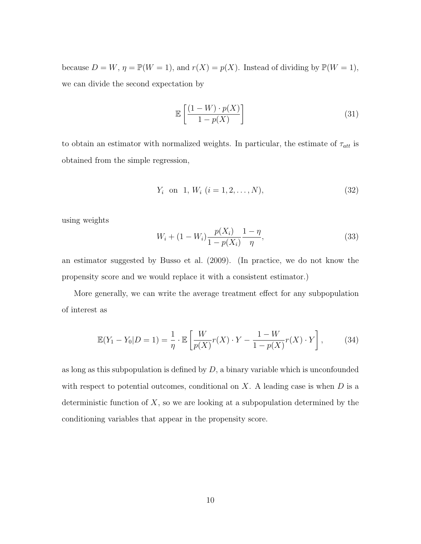because  $D = W$ ,  $\eta = \mathbb{P}(W = 1)$ , and  $r(X) = p(X)$ . Instead of dividing by  $\mathbb{P}(W = 1)$ , we can divide the second expectation by

$$
\mathbb{E}\left[\frac{(1-W)\cdot p(X)}{1-p(X)}\right]
$$
\n(31)

to obtain an estimator with normalized weights. In particular, the estimate of  $\tau_{att}$  is obtained from the simple regression,

$$
Y_i \quad \text{on} \quad 1, \, W_i \, (i = 1, 2, \dots, N), \tag{32}
$$

using weights

$$
W_i + (1 - W_i) \frac{p(X_i)}{1 - p(X_i)} \frac{1 - \eta}{\eta},
$$
\n(33)

an estimator suggested by [Busso et al.](#page-20-7) [\(2009\)](#page-20-7). (In practice, we do not know the propensity score and we would replace it with a consistent estimator.)

More generally, we can write the average treatment effect for any subpopulation of interest as

$$
\mathbb{E}(Y_1 - Y_0 | D = 1) = \frac{1}{\eta} \cdot \mathbb{E}\left[\frac{W}{p(X)}r(X) \cdot Y - \frac{1 - W}{1 - p(X)}r(X) \cdot Y\right],\tag{34}
$$

as long as this subpopulation is defined by  $D$ , a binary variable which is unconfounded with respect to potential outcomes, conditional on  $X$ . A leading case is when  $D$  is a deterministic function of  $X$ , so we are looking at a subpopulation determined by the conditioning variables that appear in the propensity score.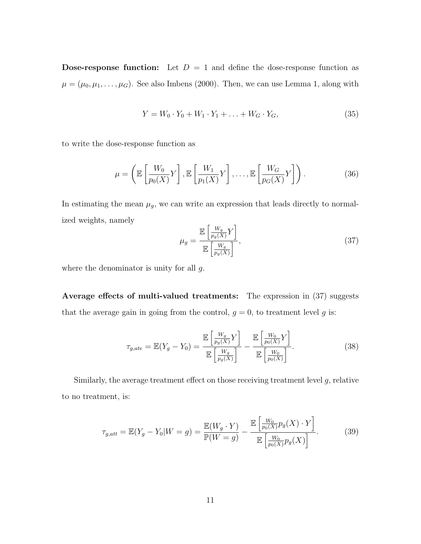**Dose-response function:** Let  $D = 1$  and define the dose-response function as  $\mu = (\mu_0, \mu_1, \dots, \mu_G)$ . See also [Imbens](#page-20-5) [\(2000\)](#page-20-5). Then, we can use Lemma 1, along with

$$
Y = W_0 \cdot Y_0 + W_1 \cdot Y_1 + \dots + W_G \cdot Y_G,\tag{35}
$$

to write the dose-response function as

$$
\mu = \left(\mathbb{E}\left[\frac{W_0}{p_0(X)}Y\right], \mathbb{E}\left[\frac{W_1}{p_1(X)}Y\right], \dots, \mathbb{E}\left[\frac{W_G}{p_G(X)}Y\right]\right). \tag{36}
$$

In estimating the mean  $\mu_g$ , we can write an expression that leads directly to normalized weights, namely  $\overline{1}$ 

<span id="page-13-0"></span>
$$
\mu_g = \frac{\mathbb{E}\left[\frac{W_g}{p_g(X)}Y\right]}{\mathbb{E}\left[\frac{W_g}{p_g(X)}\right]},
$$
\n(37)

where the denominator is unity for all  $g$ .

Average effects of multi-valued treatments: The expression in  $(37)$  suggests that the average gain in going from the control,  $g = 0$ , to treatment level g is:

$$
\tau_{g,ate} = \mathbb{E}(Y_g - Y_0) = \frac{\mathbb{E}\left[\frac{W_g}{p_g(X)}Y\right]}{\mathbb{E}\left[\frac{W_g}{p_g(X)}\right]} - \frac{\mathbb{E}\left[\frac{W_0}{p_0(X)}Y\right]}{\mathbb{E}\left[\frac{W_0}{p_0(X)}\right]}.
$$
\n(38)

Similarly, the average treatment effect on those receiving treatment level  $g$ , relative to no treatment, is:

$$
\tau_{g,att} = \mathbb{E}(Y_g - Y_0 | W = g) = \frac{\mathbb{E}(W_g \cdot Y)}{\mathbb{P}(W = g)} - \frac{\mathbb{E}\left[\frac{W_0}{p_0(X)}p_g(X) \cdot Y\right]}{\mathbb{E}\left[\frac{W_0}{p_0(X)}p_g(X)\right]}.
$$
(39)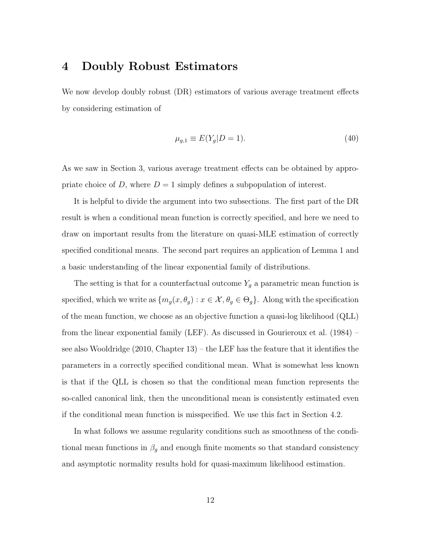# <span id="page-14-0"></span>4 Doubly Robust Estimators

We now develop doubly robust (DR) estimators of various average treatment effects by considering estimation of

$$
\mu_{g,1} \equiv E(Y_g | D = 1). \tag{40}
$$

As we saw in Section [3,](#page-6-0) various average treatment effects can be obtained by appropriate choice of D, where  $D = 1$  simply defines a subpopulation of interest.

It is helpful to divide the argument into two subsections. The first part of the DR result is when a conditional mean function is correctly specified, and here we need to draw on important results from the literature on quasi-MLE estimation of correctly specified conditional means. The second part requires an application of Lemma 1 and a basic understanding of the linear exponential family of distributions.

The setting is that for a counterfactual outcome  $Y_g$  a parametric mean function is specified, which we write as  $\{m_g(x, \theta_g) : x \in \mathcal{X}, \theta_g \in \Theta_g\}$ . Along with the specification of the mean function, we choose as an objective function a quasi-log likelihood (QLL) from the linear exponential family (LEF). As discussed in [Gourieroux et al.](#page-20-8) [\(1984\)](#page-20-8) – see also [Wooldridge](#page-22-3) [\(2010,](#page-22-3) Chapter 13) – the LEF has the feature that it identifies the parameters in a correctly specified conditional mean. What is somewhat less known is that if the QLL is chosen so that the conditional mean function represents the so-called canonical link, then the unconditional mean is consistently estimated even if the conditional mean function is misspecified. We use this fact in Section [4.2.](#page-17-0)

In what follows we assume regularity conditions such as smoothness of the conditional mean functions in  $\beta_g$  and enough finite moments so that standard consistency and asymptotic normality results hold for quasi-maximum likelihood estimation.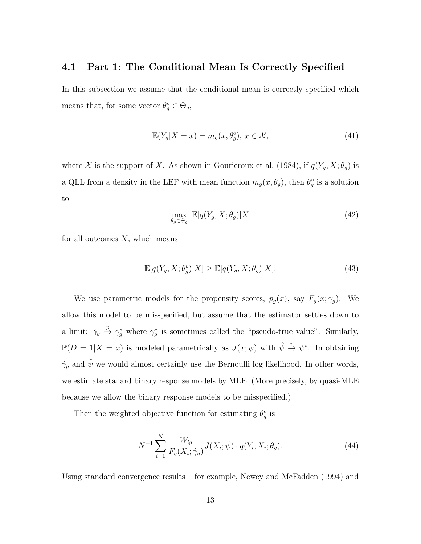#### <span id="page-15-1"></span>4.1 Part 1: The Conditional Mean Is Correctly Specified

In this subsection we assume that the conditional mean is correctly specified which means that, for some vector  $\theta_g^o \in \Theta_g$ ,

$$
\mathbb{E}(Y_g|X=x) = m_g(x, \theta_g^o), \, x \in \mathcal{X},\tag{41}
$$

where X is the support of X. As shown in [Gourieroux et al.](#page-20-8) [\(1984\)](#page-20-8), if  $q(Y_g, X; \theta_g)$  is a QLL from a density in the LEF with mean function  $m_g(x, \theta_g)$ , then  $\theta_g^o$  is a solution to

$$
\max_{\theta_g \in \Theta_g} \mathbb{E}[q(Y_g, X; \theta_g) | X] \tag{42}
$$

for all outcomes  $X$ , which means

$$
\mathbb{E}[q(Y_g, X; \theta_g^o)|X] \ge \mathbb{E}[q(Y_g, X; \theta_g)|X].\tag{43}
$$

We use parametric models for the propensity scores,  $p_g(x)$ , say  $F_g(x; \gamma_g)$ . We allow this model to be misspecified, but assume that the estimator settles down to a limit:  $\hat{\gamma}_g \stackrel{p}{\rightarrow} \gamma_g^*$  where  $\gamma_g^*$  is sometimes called the "pseudo-true value". Similarly,  $\mathbb{P}(D=1|X=x)$  is modeled parametrically as  $J(x;\psi)$  with  $\hat{\psi} \stackrel{p}{\to} \psi^*$ . In obtaining  $\hat{\gamma}_g$  and  $\hat{\psi}$  we would almost certainly use the Bernoulli log likelihood. In other words, we estimate stanard binary response models by MLE. (More precisely, by quasi-MLE because we allow the binary response models to be misspecified.)

Then the weighted objective function for estimating  $\theta_g^o$  is

<span id="page-15-0"></span>
$$
N^{-1} \sum_{i=1}^{N} \frac{W_{ig}}{F_g(X_i; \hat{\gamma}_g)} J(X_i; \hat{\psi}) \cdot q(Y_i, X_i; \theta_g). \tag{44}
$$

Using standard convergence results – for example, [Newey and McFadden](#page-21-9) [\(1994\)](#page-21-9) and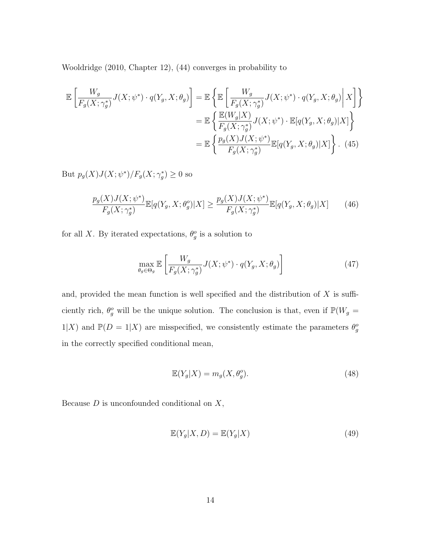[Wooldridge](#page-22-3) [\(2010,](#page-22-3) Chapter 12), [\(44\)](#page-15-0) converges in probability to

$$
\mathbb{E}\left[\frac{W_g}{F_g(X;\gamma_g^*)}J(X;\psi^*)\cdot q(Y_g,X;\theta_g)\right] = \mathbb{E}\left\{\mathbb{E}\left[\frac{W_g}{F_g(X;\gamma_g^*)}J(X;\psi^*)\cdot q(Y_g,X;\theta_g)\bigg|\,X\right]\right\}
$$

$$
= \mathbb{E}\left\{\frac{\mathbb{E}(W_g|X)}{F_g(X;\gamma_g^*)}J(X;\psi^*)\cdot \mathbb{E}[q(Y_g,X;\theta_g)|X]\right\}
$$

$$
= \mathbb{E}\left\{\frac{p_g(X)J(X;\psi^*)}{F_g(X;\gamma_g^*)}\mathbb{E}[q(Y_g,X;\theta_g)|X]\right\}. (45)
$$

But  $p_g(X)J(X; \psi^*)/F_g(X; \gamma_g^*) \geq 0$  so

$$
\frac{p_g(X)J(X; \psi^*)}{F_g(X; \gamma_g^*)} \mathbb{E}[q(Y_g, X; \theta_g^o)|X] \ge \frac{p_g(X)J(X; \psi^*)}{F_g(X; \gamma_g^*)} \mathbb{E}[q(Y_g, X; \theta_g)|X] \tag{46}
$$

for all X. By iterated expectations,  $\theta_g^o$  is a solution to

$$
\max_{\theta_g \in \Theta_g} \mathbb{E}\left[\frac{W_g}{F_g(X; \gamma_g^*)} J(X; \psi^*) \cdot q(Y_g, X; \theta_g)\right]
$$
\n(47)

and, provided the mean function is well specified and the distribution of  $X$  is sufficiently rich,  $\theta_g^o$  will be the unique solution. The conclusion is that, even if  $\mathbb{P}(W_g =$  $1|X)$  and  $\mathbb{P}(D=1|X)$  are misspecified, we consistently estimate the parameters  $\theta_g^o$ in the correctly specified conditional mean,

$$
\mathbb{E}(Y_g|X) = m_g(X, \theta_g^o). \tag{48}
$$

Because  $D$  is unconfounded conditional on  $X$ ,

$$
\mathbb{E}(Y_g|X,D) = \mathbb{E}(Y_g|X)
$$
\n(49)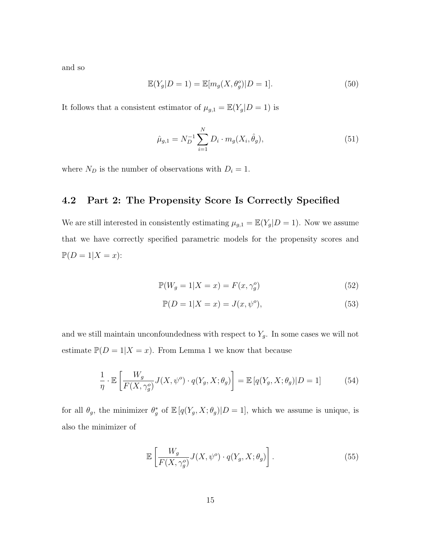and so

$$
\mathbb{E}(Y_g|D=1) = \mathbb{E}[m_g(X,\theta_g^o)|D=1].
$$
\n(50)

It follows that a consistent estimator of  $\mu_{g,1} = \mathbb{E}(Y_g|D=1)$  is

$$
\hat{\mu}_{g,1} = N_D^{-1} \sum_{i=1}^N D_i \cdot m_g(X_i, \hat{\theta}_g), \tag{51}
$$

where  $N_D$  is the number of observations with  $D_i = 1$ .

#### <span id="page-17-0"></span>4.2 Part 2: The Propensity Score Is Correctly Specified

We are still interested in consistently estimating  $\mu_{g,1} = \mathbb{E}(Y_g|D=1)$ . Now we assume that we have correctly specified parametric models for the propensity scores and  $\mathbb{P}(D=1|X=x):$ 

$$
\mathbb{P}(W_g = 1 | X = x) = F(x, \gamma_g^o)
$$
\n(52)

$$
\mathbb{P}(D = 1 | X = x) = J(x, \psi^o),\tag{53}
$$

and we still maintain unconfoundedness with respect to  $Y_g$ . In some cases we will not estimate  $\mathbb{P}(D=1|X=x)$ . From Lemma 1 we know that because

$$
\frac{1}{\eta} \cdot \mathbb{E}\left[\frac{W_g}{F(X,\gamma_g^o)} J(X,\psi^o) \cdot q(Y_g, X; \theta_g)\right] = \mathbb{E}\left[q(Y_g, X; \theta_g)|D=1\right] \tag{54}
$$

for all  $\theta_g$ , the minimizer  $\theta_g^*$  of  $\mathbb{E}[q(Y_g, X; \theta_g)|D=1]$ , which we assume is unique, is also the minimizer of

$$
\mathbb{E}\left[\frac{W_g}{F(X,\gamma_g^o)}J(X,\psi^o)\cdot q(Y_g,X;\theta_g)\right].\tag{55}
$$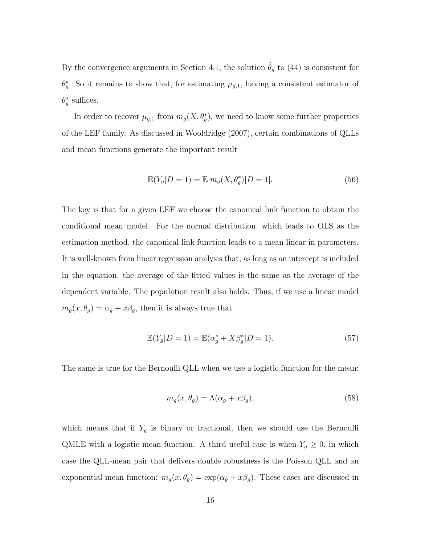By the convergence arguments in Section [4.1,](#page-15-1) the solution  $\hat{\theta}_g$  to [\(44\)](#page-15-0) is consistent for  $\theta_g^*$ . So it remains to show that, for estimating  $\mu_{g,1}$ , having a consistent estimator of  $\theta_g^*$  suffices.

In order to recover  $\mu_{g,1}$  from  $m_g(X, \theta_g^*)$ , we need to know some further properties of the LEF family. As discussed in [Wooldridge](#page-22-1) [\(2007\)](#page-22-1), certain combinations of QLLs and mean functions generate the important result

$$
\mathbb{E}(Y_g|D=1) = \mathbb{E}[m_g(X,\theta_g^*)|D=1].\tag{56}
$$

The key is that for a given LEF we choose the canonical link function to obtain the conditional mean model. For the normal distribution, which leads to OLS as the estimation method, the canonical link function leads to a mean linear in parameters. It is well-known from linear regression analysis that, as long as an intercept is included in the equation, the average of the fitted values is the same as the average of the dependent variable. The population result also holds. Thus, if we use a linear model  $m_g(x, \theta_g) = \alpha_g + x\beta_g$ , then it is always true that

$$
\mathbb{E}(Y_g|D=1) = \mathbb{E}(\alpha_g^* + X\beta_g^*|D=1).
$$
 (57)

The same is true for the Bernoulli QLL when we use a logistic function for the mean:

$$
m_g(x, \theta_g) = \Lambda(\alpha_g + x\beta_g),\tag{58}
$$

which means that if  $Y_g$  is binary or fractional, then we should use the Bernoulli QMLE with a logistic mean function. A third useful case is when  $Y_g \geq 0$ , in which case the QLL-mean pair that delivers double robustness is the Poisson QLL and an exponential mean function:  $m_g(x, \theta_g) = \exp(\alpha_g + x\beta_g)$ . These cases are discussed in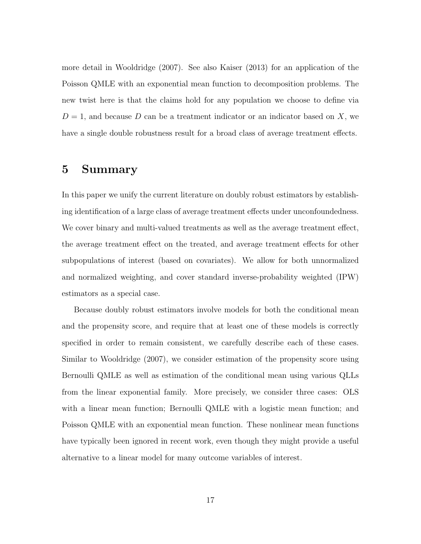more detail in [Wooldridge](#page-22-1) [\(2007\)](#page-22-1). See also [Kaiser](#page-21-6) [\(2013\)](#page-21-6) for an application of the Poisson QMLE with an exponential mean function to decomposition problems. The new twist here is that the claims hold for any population we choose to define via  $D = 1$ , and because D can be a treatment indicator or an indicator based on X, we have a single double robustness result for a broad class of average treatment effects.

# <span id="page-19-0"></span>5 Summary

In this paper we unify the current literature on doubly robust estimators by establishing identification of a large class of average treatment effects under unconfoundedness. We cover binary and multi-valued treatments as well as the average treatment effect, the average treatment effect on the treated, and average treatment effects for other subpopulations of interest (based on covariates). We allow for both unnormalized and normalized weighting, and cover standard inverse-probability weighted (IPW) estimators as a special case.

Because doubly robust estimators involve models for both the conditional mean and the propensity score, and require that at least one of these models is correctly specified in order to remain consistent, we carefully describe each of these cases. Similar to [Wooldridge](#page-22-1) [\(2007\)](#page-22-1), we consider estimation of the propensity score using Bernoulli QMLE as well as estimation of the conditional mean using various QLLs from the linear exponential family. More precisely, we consider three cases: OLS with a linear mean function; Bernoulli QMLE with a logistic mean function; and Poisson QMLE with an exponential mean function. These nonlinear mean functions have typically been ignored in recent work, even though they might provide a useful alternative to a linear model for many outcome variables of interest.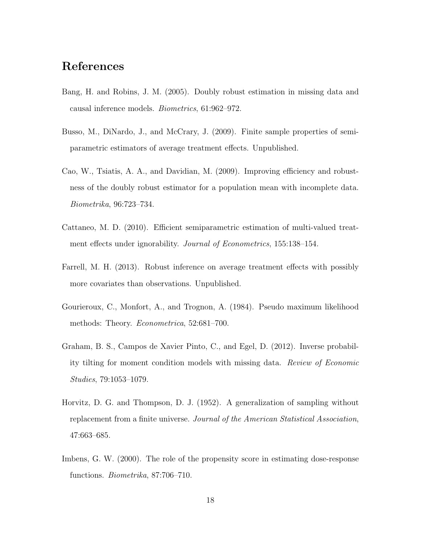# References

- <span id="page-20-0"></span>Bang, H. and Robins, J. M. (2005). Doubly robust estimation in missing data and causal inference models. Biometrics, 61:962–972.
- <span id="page-20-7"></span>Busso, M., DiNardo, J., and McCrary, J. (2009). Finite sample properties of semiparametric estimators of average treatment effects. Unpublished.
- <span id="page-20-1"></span>Cao, W., Tsiatis, A. A., and Davidian, M. (2009). Improving efficiency and robustness of the doubly robust estimator for a population mean with incomplete data. Biometrika, 96:723–734.
- <span id="page-20-2"></span>Cattaneo, M. D. (2010). Efficient semiparametric estimation of multi-valued treatment effects under ignorability. Journal of Econometrics, 155:138–154.
- <span id="page-20-3"></span>Farrell, M. H. (2013). Robust inference on average treatment effects with possibly more covariates than observations. Unpublished.
- <span id="page-20-8"></span>Gourieroux, C., Monfort, A., and Trognon, A. (1984). Pseudo maximum likelihood methods: Theory. Econometrica, 52:681–700.
- <span id="page-20-4"></span>Graham, B. S., Campos de Xavier Pinto, C., and Egel, D. (2012). Inverse probability tilting for moment condition models with missing data. Review of Economic Studies, 79:1053–1079.
- <span id="page-20-6"></span>Horvitz, D. G. and Thompson, D. J. (1952). A generalization of sampling without replacement from a finite universe. Journal of the American Statistical Association, 47:663–685.
- <span id="page-20-5"></span>Imbens, G. W. (2000). The role of the propensity score in estimating dose-response functions. Biometrika, 87:706–710.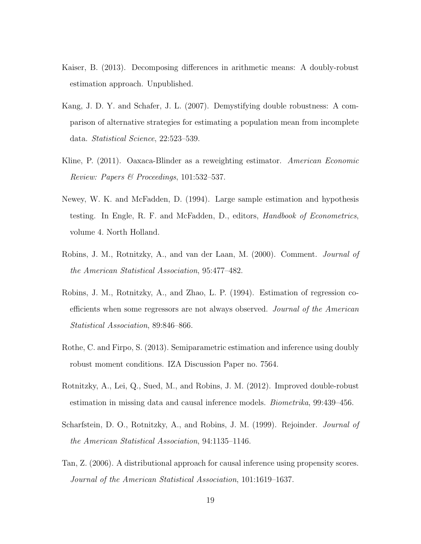- <span id="page-21-6"></span>Kaiser, B. (2013). Decomposing differences in arithmetic means: A doubly-robust estimation approach. Unpublished.
- <span id="page-21-4"></span>Kang, J. D. Y. and Schafer, J. L. (2007). Demystifying double robustness: A comparison of alternative strategies for estimating a population mean from incomplete data. Statistical Science, 22:523–539.
- <span id="page-21-7"></span>Kline, P. (2011). Oaxaca-Blinder as a reweighting estimator. American Economic Review: Papers & Proceedings, 101:532–537.
- <span id="page-21-9"></span>Newey, W. K. and McFadden, D. (1994). Large sample estimation and hypothesis testing. In Engle, R. F. and McFadden, D., editors, Handbook of Econometrics, volume 4. North Holland.
- <span id="page-21-2"></span>Robins, J. M., Rotnitzky, A., and van der Laan, M. (2000). Comment. Journal of the American Statistical Association, 95:477–482.
- <span id="page-21-0"></span>Robins, J. M., Rotnitzky, A., and Zhao, L. P. (1994). Estimation of regression coefficients when some regressors are not always observed. Journal of the American Statistical Association, 89:846–866.
- <span id="page-21-8"></span>Rothe, C. and Firpo, S. (2013). Semiparametric estimation and inference using doubly robust moment conditions. IZA Discussion Paper no. 7564.
- <span id="page-21-5"></span>Rotnitzky, A., Lei, Q., Sued, M., and Robins, J. M. (2012). Improved double-robust estimation in missing data and causal inference models. Biometrika, 99:439–456.
- <span id="page-21-1"></span>Scharfstein, D. O., Rotnitzky, A., and Robins, J. M. (1999). Rejoinder. *Journal of* the American Statistical Association, 94:1135–1146.
- <span id="page-21-3"></span>Tan, Z. (2006). A distributional approach for causal inference using propensity scores. Journal of the American Statistical Association, 101:1619–1637.